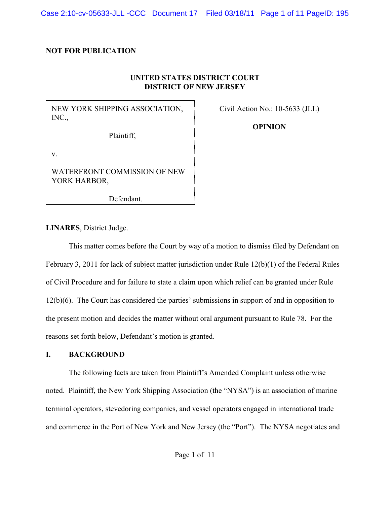Case 2:10-cv-05633-JLL -CCC Document 17 Filed 03/18/11 Page 1 of 11 PageID: 195

#### **NOT FOR PUBLICATION**

## **UNITED STATES DISTRICT COURT DISTRICT OF NEW JERSEY**

NEW YORK SHIPPING ASSOCIATION, INC.,

Civil Action No.: 10-5633 (JLL)

**OPINION**

Plaintiff,

v.

WATERFRONT COMMISSION OF NEW YORK HARBOR,

Defendant.

**LINARES**, District Judge.

This matter comes before the Court by way of a motion to dismiss filed by Defendant on February 3, 2011 for lack of subject matter jurisdiction under Rule 12(b)(1) of the Federal Rules of Civil Procedure and for failure to state a claim upon which relief can be granted under Rule 12(b)(6). The Court has considered the parties' submissions in support of and in opposition to the present motion and decides the matter without oral argument pursuant to Rule 78. For the reasons set forth below, Defendant's motion is granted.

### **I. BACKGROUND**

The following facts are taken from Plaintiff's Amended Complaint unless otherwise noted. Plaintiff, the New York Shipping Association (the "NYSA") is an association of marine terminal operators, stevedoring companies, and vessel operators engaged in international trade and commerce in the Port of New York and New Jersey (the "Port"). The NYSA negotiates and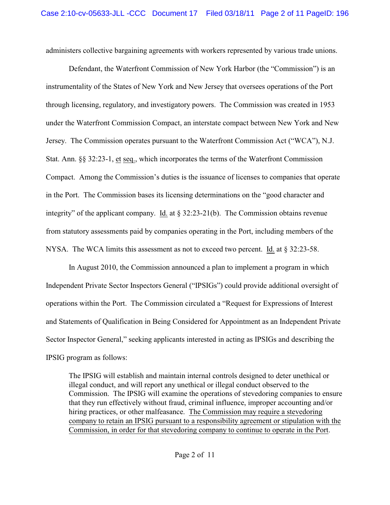administers collective bargaining agreements with workers represented by various trade unions.

Defendant, the Waterfront Commission of New York Harbor (the "Commission") is an instrumentality of the States of New York and New Jersey that oversees operations of the Port through licensing, regulatory, and investigatory powers. The Commission was created in 1953 under the Waterfront Commission Compact, an interstate compact between New York and New Jersey. The Commission operates pursuant to the Waterfront Commission Act ("WCA"), N.J. Stat. Ann. §§ 32:23-1, et seq., which incorporates the terms of the Waterfront Commission Compact. Among the Commission's duties is the issuance of licenses to companies that operate in the Port. The Commission bases its licensing determinations on the "good character and integrity" of the applicant company. Id. at § 32:23-21(b). The Commission obtains revenue from statutory assessments paid by companies operating in the Port, including members of the NYSA. The WCA limits this assessment as not to exceed two percent. Id. at § 32:23-58.

In August 2010, the Commission announced a plan to implement a program in which Independent Private Sector Inspectors General ("IPSIGs") could provide additional oversight of operations within the Port. The Commission circulated a "Request for Expressions of Interest and Statements of Qualification in Being Considered for Appointment as an Independent Private Sector Inspector General," seeking applicants interested in acting as IPSIGs and describing the IPSIG program as follows:

The IPSIG will establish and maintain internal controls designed to deter unethical or illegal conduct, and will report any unethical or illegal conduct observed to the Commission. The IPSIG will examine the operations of stevedoring companies to ensure that they run effectively without fraud, criminal influence, improper accounting and/or hiring practices, or other malfeasance. The Commission may require a stevedoring company to retain an IPSIG pursuant to a responsibility agreement or stipulation with the Commission, in order for that stevedoring company to continue to operate in the Port.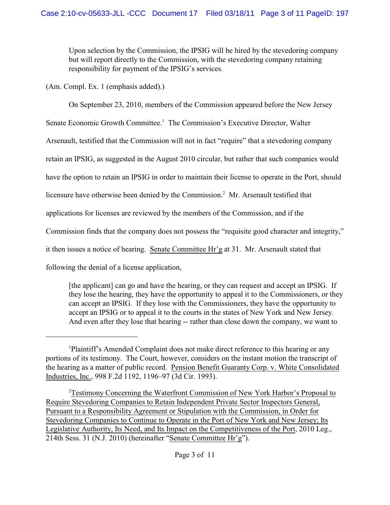Upon selection by the Commission, the IPSIG will be hired by the stevedoring company but will report directly to the Commission, with the stevedoring company retaining responsibility for payment of the IPSIG's services.

(Am. Compl. Ex. 1 (emphasis added).)

On September 23, 2010, members of the Commission appeared before the New Jersey

Senate Economic Growth Committee.<sup>1</sup> The Commission's Executive Director, Walter

Arsenault, testified that the Commission will not in fact "require" that a stevedoring company

retain an IPSIG, as suggested in the August 2010 circular, but rather that such companies would

have the option to retain an IPSIG in order to maintain their license to operate in the Port, should

licensure have otherwise been denied by the Commission.<sup>2</sup> Mr. Arsenault testified that

applications for licenses are reviewed by the members of the Commission, and if the

Commission finds that the company does not possess the "requisite good character and integrity,"

it then issues a notice of hearing. Senate Committee Hr'g at 31. Mr. Arsenault stated that

following the denial of a license application,

[the applicant] can go and have the hearing, or they can request and accept an IPSIG. If they lose the hearing, they have the opportunity to appeal it to the Commissioners, or they can accept an IPSIG. If they lose with the Commissioners, they have the opportunity to accept an IPSIG or to appeal it to the courts in the states of New York and New Jersey. And even after they lose that hearing -- rather than close down the company, we want to

Plaintiff's Amended Complaint does not make direct reference to this hearing or any <sup>1</sup> portions of its testimony. The Court, however, considers on the instant motion the transcript of the hearing as a matter of public record. Pension Benefit Guaranty Corp. v. White Consolidated Industries, Inc., 998 F.2d 1192, 1196–97 (3d Cir. 1993).

<sup>&</sup>lt;sup>2</sup>Testimony Concerning the Waterfront Commission of New York Harbor's Proposal to Require Stevedoring Companies to Retain Independent Private Sector Inspectors General, Pursuant to a Responsibility Agreement or Stipulation with the Commission, in Order for Stevedoring Companies to Continue to Operate in the Port of New York and New Jersey; Its Legislative Authority, Its Need, and Its Impact on the Competitiveness of the Port, 2010 Leg., 214th Sess. 31 (N.J. 2010) (hereinafter "Senate Committee Hr'g").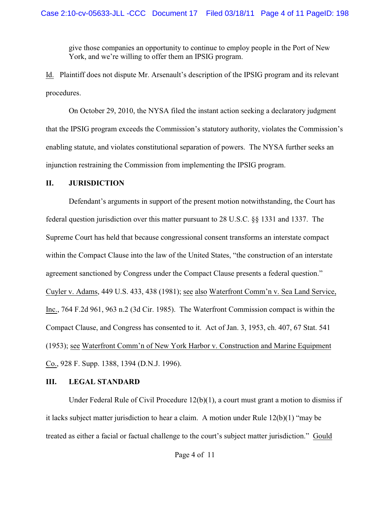give those companies an opportunity to continue to employ people in the Port of New York, and we're willing to offer them an IPSIG program.

Id. Plaintiff does not dispute Mr. Arsenault's description of the IPSIG program and its relevant procedures.

On October 29, 2010, the NYSA filed the instant action seeking a declaratory judgment that the IPSIG program exceeds the Commission's statutory authority, violates the Commission's enabling statute, and violates constitutional separation of powers. The NYSA further seeks an injunction restraining the Commission from implementing the IPSIG program.

#### **II. JURISDICTION**

Defendant's arguments in support of the present motion notwithstanding, the Court has federal question jurisdiction over this matter pursuant to 28 U.S.C. §§ 1331 and 1337. The Supreme Court has held that because congressional consent transforms an interstate compact within the Compact Clause into the law of the United States, "the construction of an interstate agreement sanctioned by Congress under the Compact Clause presents a federal question." Cuyler v. Adams, 449 U.S. 433, 438 (1981); see also Waterfront Comm'n v. Sea Land Service, Inc., 764 F.2d 961, 963 n.2 (3d Cir. 1985). The Waterfront Commission compact is within the Compact Clause, and Congress has consented to it. Act of Jan. 3, 1953, ch. 407, 67 Stat. 541 (1953); see Waterfront Comm'n of New York Harbor v. Construction and Marine Equipment Co., 928 F. Supp. 1388, 1394 (D.N.J. 1996).

### **III. LEGAL STANDARD**

Under Federal Rule of Civil Procedure 12(b)(1), a court must grant a motion to dismiss if it lacks subject matter jurisdiction to hear a claim. A motion under Rule 12(b)(1) "may be treated as either a facial or factual challenge to the court's subject matter jurisdiction." Gould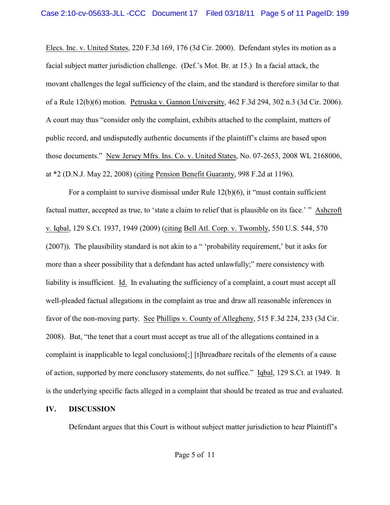Elecs. Inc. v. United States, 220 F.3d 169, 176 (3d Cir. 2000). Defendant styles its motion as a facial subject matter jurisdiction challenge. (Def.'s Mot. Br. at 15.) In a facial attack, the movant challenges the legal sufficiency of the claim, and the standard is therefore similar to that of a Rule 12(b)(6) motion. Petruska v. Gannon University, 462 F.3d 294, 302 n.3 (3d Cir. 2006). A court may thus "consider only the complaint, exhibits attached to the complaint, matters of public record, and undisputedly authentic documents if the plaintiff's claims are based upon those documents." New Jersey Mfrs. Ins. Co. v. United States, No. 07-2653, 2008 WL 2168006, at \*2 (D.N.J. May 22, 2008) (citing Pension Benefit Guaranty, 998 F.2d at 1196).

For a complaint to survive dismissal under Rule 12(b)(6), it "must contain sufficient factual matter, accepted as true, to 'state a claim to relief that is plausible on its face.' " Ashcroft v. Iqbal, 129 S.Ct. 1937, 1949 (2009) (citing Bell Atl. Corp. v. Twombly, 550 U.S. 544, 570 (2007)). The plausibility standard is not akin to a " 'probability requirement,' but it asks for more than a sheer possibility that a defendant has acted unlawfully;" mere consistency with liability is insufficient. Id. In evaluating the sufficiency of a complaint, a court must accept all well-pleaded factual allegations in the complaint as true and draw all reasonable inferences in favor of the non-moving party. See Phillips v. County of Allegheny, 515 F.3d 224, 233 (3d Cir. 2008). But, "the tenet that a court must accept as true all of the allegations contained in a complaint is inapplicable to legal conclusions[;] [t]hreadbare recitals of the elements of a cause of action, supported by mere conclusory statements, do not suffice." Iqbal, 129 S.Ct. at 1949. It is the underlying specific facts alleged in a complaint that should be treated as true and evaluated.

### **IV. DISCUSSION**

Defendant argues that this Court is without subject matter jurisdiction to hear Plaintiff's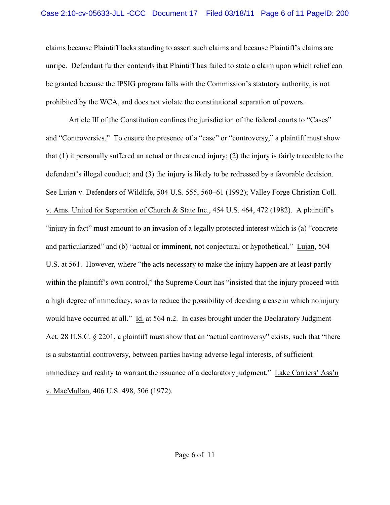claims because Plaintiff lacks standing to assert such claims and because Plaintiff's claims are unripe. Defendant further contends that Plaintiff has failed to state a claim upon which relief can be granted because the IPSIG program falls with the Commission's statutory authority, is not prohibited by the WCA, and does not violate the constitutional separation of powers.

Article III of the Constitution confines the jurisdiction of the federal courts to "Cases" and "Controversies." To ensure the presence of a "case" or "controversy," a plaintiff must show that (1) it personally suffered an actual or threatened injury; (2) the injury is fairly traceable to the defendant's illegal conduct; and (3) the injury is likely to be redressed by a favorable decision. See Lujan v. Defenders of Wildlife, 504 U.S. 555, 560–61 (1992); Valley Forge Christian Coll. v. Ams. United for Separation of Church & State Inc., 454 U.S. 464, 472 (1982). A plaintiff's "injury in fact" must amount to an invasion of a legally protected interest which is (a) "concrete and particularized" and (b) "actual or imminent, not conjectural or hypothetical." Lujan, 504 U.S. at 561. However, where "the acts necessary to make the injury happen are at least partly within the plaintiff's own control," the Supreme Court has "insisted that the injury proceed with a high degree of immediacy, so as to reduce the possibility of deciding a case in which no injury would have occurred at all." Id. at 564 n.2. In cases brought under the Declaratory Judgment Act, 28 U.S.C. § 2201, a plaintiff must show that an "actual controversy" exists, such that "there is a substantial controversy, between parties having adverse legal interests, of sufficient immediacy and reality to warrant the issuance of a declaratory judgment." Lake Carriers' Ass'n v. MacMullan, 406 U.S. 498, 506 (1972).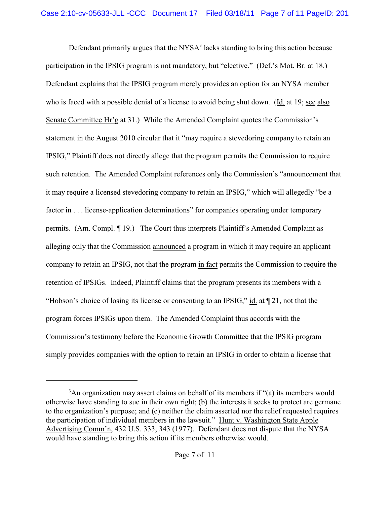Defendant primarily argues that the  $NYSA<sup>3</sup>$  lacks standing to bring this action because participation in the IPSIG program is not mandatory, but "elective." (Def.'s Mot. Br. at 18.) Defendant explains that the IPSIG program merely provides an option for an NYSA member who is faced with a possible denial of a license to avoid being shut down. (Id. at 19; see also Senate Committee Hr'g at 31.) While the Amended Complaint quotes the Commission's statement in the August 2010 circular that it "may require a stevedoring company to retain an IPSIG," Plaintiff does not directly allege that the program permits the Commission to require such retention. The Amended Complaint references only the Commission's "announcement that it may require a licensed stevedoring company to retain an IPSIG," which will allegedly "be a factor in . . . license-application determinations" for companies operating under temporary permits. (Am. Compl. ¶ 19.) The Court thus interprets Plaintiff's Amended Complaint as alleging only that the Commission announced a program in which it may require an applicant company to retain an IPSIG, not that the program in fact permits the Commission to require the retention of IPSIGs. Indeed, Plaintiff claims that the program presents its members with a "Hobson's choice of losing its license or consenting to an IPSIG," id. at  $\P$  21, not that the program forces IPSIGs upon them. The Amended Complaint thus accords with the Commission's testimony before the Economic Growth Committee that the IPSIG program simply provides companies with the option to retain an IPSIG in order to obtain a license that

 ${}^{3}$ An organization may assert claims on behalf of its members if "(a) its members would otherwise have standing to sue in their own right; (b) the interests it seeks to protect are germane to the organization's purpose; and (c) neither the claim asserted nor the relief requested requires the participation of individual members in the lawsuit." Hunt v. Washington State Apple Advertising Comm'n, 432 U.S. 333, 343 (1977). Defendant does not dispute that the NYSA would have standing to bring this action if its members otherwise would.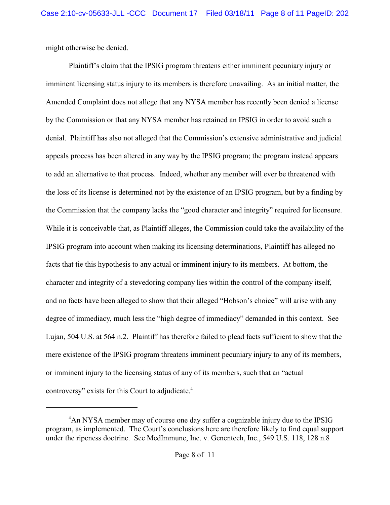might otherwise be denied.

Plaintiff's claim that the IPSIG program threatens either imminent pecuniary injury or imminent licensing status injury to its members is therefore unavailing. As an initial matter, the Amended Complaint does not allege that any NYSA member has recently been denied a license by the Commission or that any NYSA member has retained an IPSIG in order to avoid such a denial. Plaintiff has also not alleged that the Commission's extensive administrative and judicial appeals process has been altered in any way by the IPSIG program; the program instead appears to add an alternative to that process. Indeed, whether any member will ever be threatened with the loss of its license is determined not by the existence of an IPSIG program, but by a finding by the Commission that the company lacks the "good character and integrity" required for licensure. While it is conceivable that, as Plaintiff alleges, the Commission could take the availability of the IPSIG program into account when making its licensing determinations, Plaintiff has alleged no facts that tie this hypothesis to any actual or imminent injury to its members. At bottom, the character and integrity of a stevedoring company lies within the control of the company itself, and no facts have been alleged to show that their alleged "Hobson's choice" will arise with any degree of immediacy, much less the "high degree of immediacy" demanded in this context. See Lujan, 504 U.S. at 564 n.2. Plaintiff has therefore failed to plead facts sufficient to show that the mere existence of the IPSIG program threatens imminent pecuniary injury to any of its members, or imminent injury to the licensing status of any of its members, such that an "actual controversy" exists for this Court to adjudicate. 4

<sup>&</sup>lt;sup>4</sup>An NYSA member may of course one day suffer a cognizable injury due to the IPSIG program, as implemented. The Court's conclusions here are therefore likely to find equal support under the ripeness doctrine. See MedImmune, Inc. v. Genentech, Inc., 549 U.S. 118, 128 n.8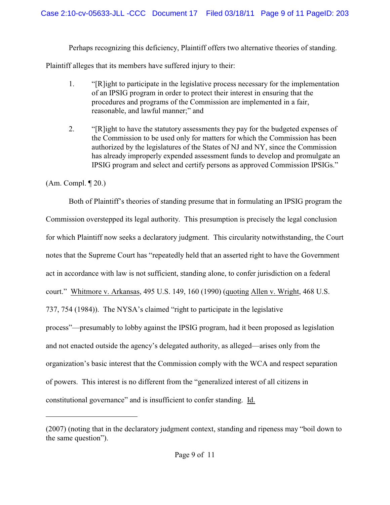Perhaps recognizing this deficiency, Plaintiff offers two alternative theories of standing.

Plaintiff alleges that its members have suffered injury to their:

- 1. "[R]ight to participate in the legislative process necessary for the implementation of an IPSIG program in order to protect their interest in ensuring that the procedures and programs of the Commission are implemented in a fair, reasonable, and lawful manner;" and
- 2. "[R]ight to have the statutory assessments they pay for the budgeted expenses of the Commission to be used only for matters for which the Commission has been authorized by the legislatures of the States of NJ and NY, since the Commission has already improperly expended assessment funds to develop and promulgate an IPSIG program and select and certify persons as approved Commission IPSIGs."

# (Am. Compl. ¶ 20.)

Both of Plaintiff's theories of standing presume that in formulating an IPSIG program the Commission overstepped its legal authority. This presumption is precisely the legal conclusion for which Plaintiff now seeks a declaratory judgment. This circularity notwithstanding, the Court notes that the Supreme Court has "repeatedly held that an asserted right to have the Government act in accordance with law is not sufficient, standing alone, to confer jurisdiction on a federal court." Whitmore v. Arkansas, 495 U.S. 149, 160 (1990) (quoting Allen v. Wright, 468 U.S. 737, 754 (1984)). The NYSA's claimed "right to participate in the legislative process"—presumably to lobby against the IPSIG program, had it been proposed as legislation and not enacted outside the agency's delegated authority, as alleged—arises only from the organization's basic interest that the Commission comply with the WCA and respect separation of powers. This interest is no different from the "generalized interest of all citizens in constitutional governance" and is insufficient to confer standing. Id.

<sup>(2007) (</sup>noting that in the declaratory judgment context, standing and ripeness may "boil down to the same question").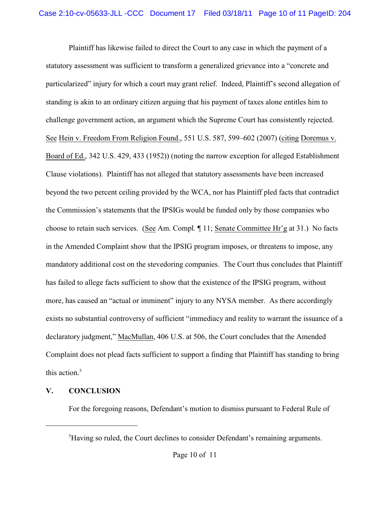Plaintiff has likewise failed to direct the Court to any case in which the payment of a statutory assessment was sufficient to transform a generalized grievance into a "concrete and particularized" injury for which a court may grant relief. Indeed, Plaintiff's second allegation of standing is akin to an ordinary citizen arguing that his payment of taxes alone entitles him to challenge government action, an argument which the Supreme Court has consistently rejected. See Hein v. Freedom From Religion Found., 551 U.S. 587, 599–602 (2007) (citing Doremus v. Board of Ed., 342 U.S. 429, 433 (1952)) (noting the narrow exception for alleged Establishment Clause violations). Plaintiff has not alleged that statutory assessments have been increased beyond the two percent ceiling provided by the WCA, nor has Plaintiff pled facts that contradict the Commission's statements that the IPSIGs would be funded only by those companies who choose to retain such services. (See Am. Compl. ¶ 11; Senate Committee Hr'g at 31.) No facts in the Amended Complaint show that the IPSIG program imposes, or threatens to impose, any mandatory additional cost on the stevedoring companies. The Court thus concludes that Plaintiff has failed to allege facts sufficient to show that the existence of the IPSIG program, without more, has caused an "actual or imminent" injury to any NYSA member. As there accordingly exists no substantial controversy of sufficient "immediacy and reality to warrant the issuance of a declaratory judgment," MacMullan, 406 U.S. at 506, the Court concludes that the Amended Complaint does not plead facts sufficient to support a finding that Plaintiff has standing to bring this action.<sup>5</sup>

### **V. CONCLUSION**

For the foregoing reasons, Defendant's motion to dismiss pursuant to Federal Rule of

 ${}^{5}$ Having so ruled, the Court declines to consider Defendant's remaining arguments.